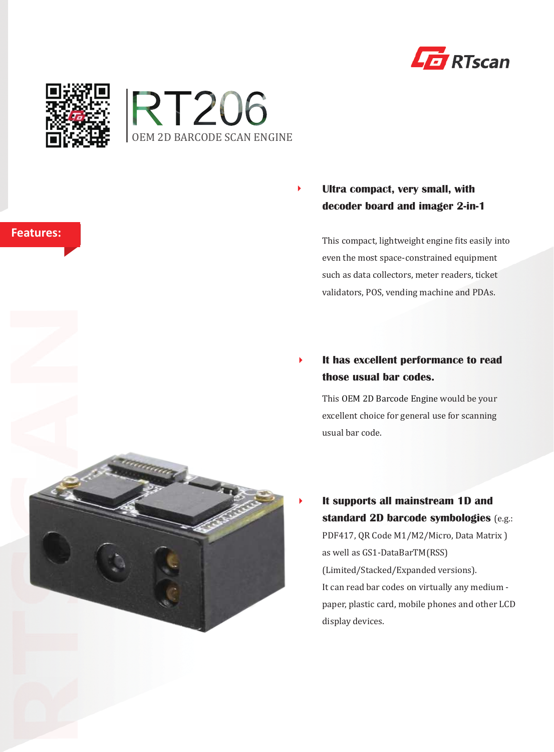



**Features:** 



#### $\blacktriangleright$ **Ultra compact, very small, with decoder board and imager 2-in-1**

This compact, lightweight engine fits easily into even the most space-constrained equipment such as data collectors, meter readers, ticket validators, POS, vending machine and PDAs.

#### $\blacktriangleright$ **It has excellent performance to read those usual bar codes.**

This OEM 2D Barcode Engine would be your excellent choice for general use for scanning usual bar code.

**It supports all mainstream 1D and standard 2D barcode symbologies** (e.g.: PDF417, QR Code M1/M2/Micro, Data Matrix ) as well as GS1-DataBarTM(RSS) (Limited/Stacked/Expanded versions). It can read bar codes on virtually any medium paper, plastic card, mobile phones and other LCD display devices.